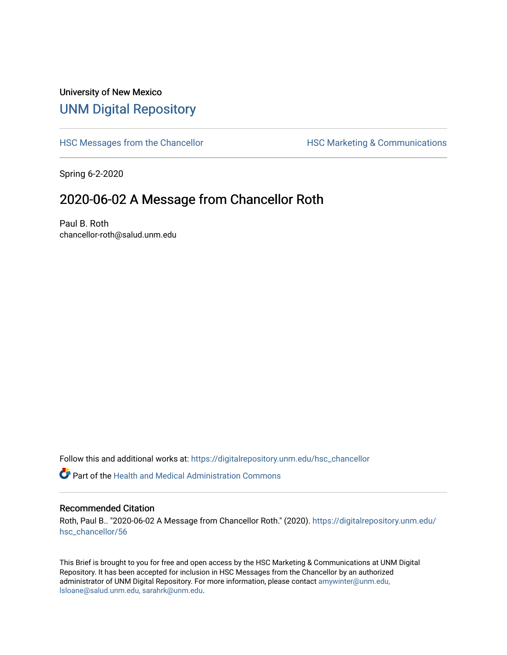## University of New Mexico [UNM Digital Repository](https://digitalrepository.unm.edu/)

[HSC Messages from the Chancellor](https://digitalrepository.unm.edu/hsc_chancellor) **HSC Marketing & Communications** 

Spring 6-2-2020

## 2020-06-02 A Message from Chancellor Roth

Paul B. Roth chancellor-roth@salud.unm.edu

Follow this and additional works at: [https://digitalrepository.unm.edu/hsc\\_chancellor](https://digitalrepository.unm.edu/hsc_chancellor?utm_source=digitalrepository.unm.edu%2Fhsc_chancellor%2F56&utm_medium=PDF&utm_campaign=PDFCoverPages) 

 $\bullet$  Part of the [Health and Medical Administration Commons](http://network.bepress.com/hgg/discipline/663?utm_source=digitalrepository.unm.edu%2Fhsc_chancellor%2F56&utm_medium=PDF&utm_campaign=PDFCoverPages)

#### Recommended Citation

Roth, Paul B.. "2020-06-02 A Message from Chancellor Roth." (2020). [https://digitalrepository.unm.edu/](https://digitalrepository.unm.edu/hsc_chancellor/56?utm_source=digitalrepository.unm.edu%2Fhsc_chancellor%2F56&utm_medium=PDF&utm_campaign=PDFCoverPages) [hsc\\_chancellor/56](https://digitalrepository.unm.edu/hsc_chancellor/56?utm_source=digitalrepository.unm.edu%2Fhsc_chancellor%2F56&utm_medium=PDF&utm_campaign=PDFCoverPages) 

This Brief is brought to you for free and open access by the HSC Marketing & Communications at UNM Digital Repository. It has been accepted for inclusion in HSC Messages from the Chancellor by an authorized administrator of UNM Digital Repository. For more information, please contact [amywinter@unm.edu,](mailto:amywinter@unm.edu,%20lsloane@salud.unm.edu,%20sarahrk@unm.edu) [lsloane@salud.unm.edu, sarahrk@unm.edu.](mailto:amywinter@unm.edu,%20lsloane@salud.unm.edu,%20sarahrk@unm.edu)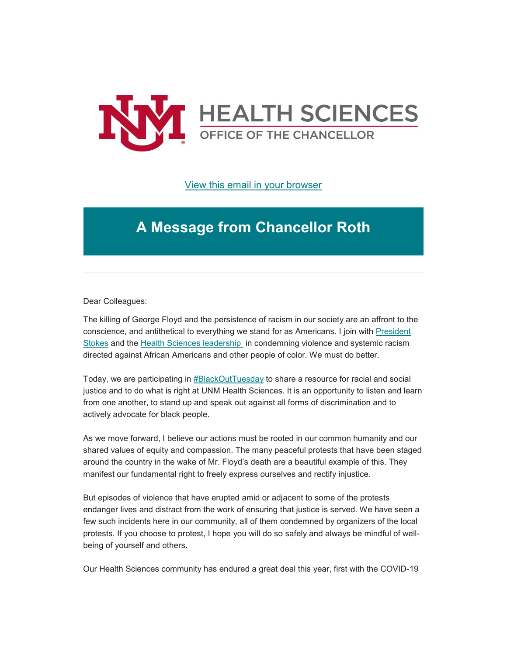

### [View this email in your browser](https://mailchi.mp/9c55d8a7c279/message-from-the-chancellor-coronavirus-4428280?e=b4bbfca2c0)

# **A Message from Chancellor Roth**

Dear Colleagues:

The killing of George Floyd and the persistence of racism in our society are an affront to the conscience, and antithetical to everything we stand for as Americans. I join with [President](https://unm.us19.list-manage.com/track/click?u=59ce53c1a4dedb490bac78648&id=06e7c04e63&e=b4bbfca2c0)  [Stokes](https://unm.us19.list-manage.com/track/click?u=59ce53c1a4dedb490bac78648&id=06e7c04e63&e=b4bbfca2c0) and the [Health Sciences leadership](https://unm.us19.list-manage.com/track/click?u=59ce53c1a4dedb490bac78648&id=84b03c6aee&e=b4bbfca2c0) in condemning violence and systemic racism directed against African Americans and other people of color. We must do better.

Today, we are participating in [#BlackOutTuesday](https://unm.us19.list-manage.com/track/click?u=59ce53c1a4dedb490bac78648&id=12b6f65786&e=b4bbfca2c0) to share a resource for racial and social justice and to do what is right at UNM Health Sciences. It is an opportunity to listen and learn from one another, to stand up and speak out against all forms of discrimination and to actively advocate for black people.

As we move forward, I believe our actions must be rooted in our common humanity and our shared values of equity and compassion. The many peaceful protests that have been staged around the country in the wake of Mr. Floyd's death are a beautiful example of this. They manifest our fundamental right to freely express ourselves and rectify injustice.

But episodes of violence that have erupted amid or adjacent to some of the protests endanger lives and distract from the work of ensuring that justice is served. We have seen a few such incidents here in our community, all of them condemned by organizers of the local protests. If you choose to protest, I hope you will do so safely and always be mindful of wellbeing of yourself and others.

Our Health Sciences community has endured a great deal this year, first with the COVID-19